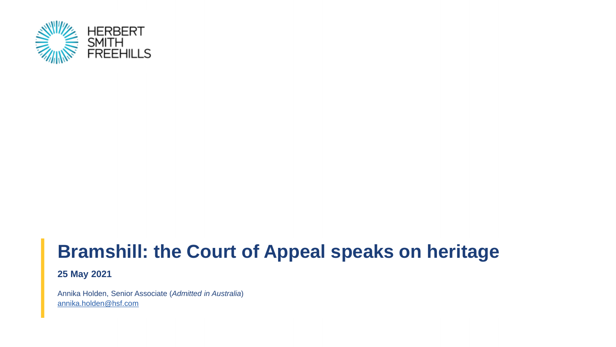

# **Bramshill: the Court of Appeal speaks on heritage**

**25 May 2021**

Annika Holden, Senior Associate (*Admitted in Australia*) [annika.holden@hsf.com](mailto:annikaholden@hsf.com)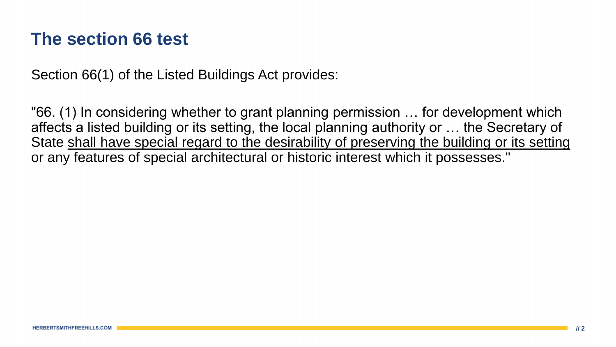#### **The section 66 test**

Section 66(1) of the Listed Buildings Act provides:

"66. (1) In considering whether to grant planning permission … for development which affects a listed building or its setting, the local planning authority or … the Secretary of State shall have special regard to the desirability of preserving the building or its setting or any features of special architectural or historic interest which it possesses."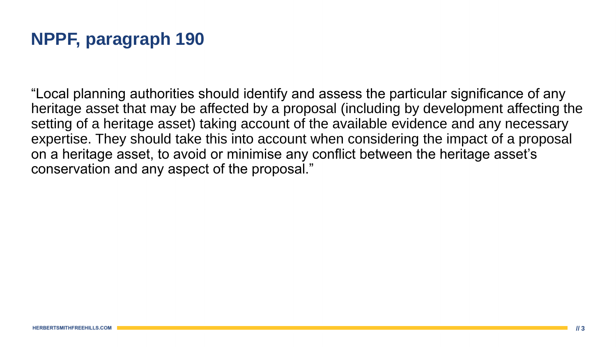"Local planning authorities should identify and assess the particular significance of any heritage asset that may be affected by a proposal (including by development affecting the setting of a heritage asset) taking account of the available evidence and any necessary expertise. They should take this into account when considering the impact of a proposal on a heritage asset, to avoid or minimise any conflict between the heritage asset's conservation and any aspect of the proposal."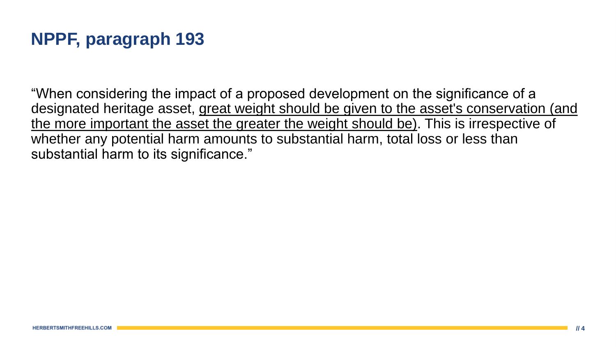"When considering the impact of a proposed development on the significance of a designated heritage asset, great weight should be given to the asset's conservation (and the more important the asset the greater the weight should be). This is irrespective of whether any potential harm amounts to substantial harm, total loss or less than substantial harm to its significance."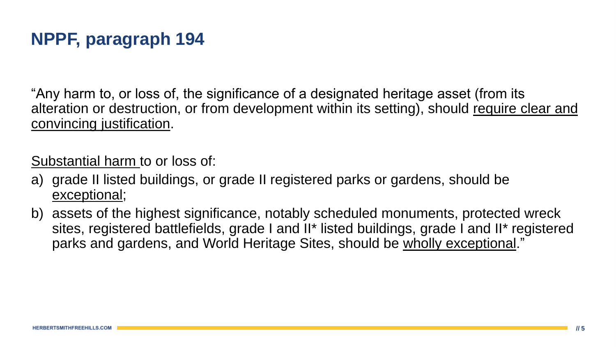"Any harm to, or loss of, the significance of a designated heritage asset (from its alteration or destruction, or from development within its setting), should require clear and convincing justification.

Substantial harm to or loss of:

- a) grade II listed buildings, or grade II registered parks or gardens, should be exceptional;
- b) assets of the highest significance, notably scheduled monuments, protected wreck sites, registered battlefields, grade I and II\* listed buildings, grade I and II\* registered parks and gardens, and World Heritage Sites, should be wholly exceptional."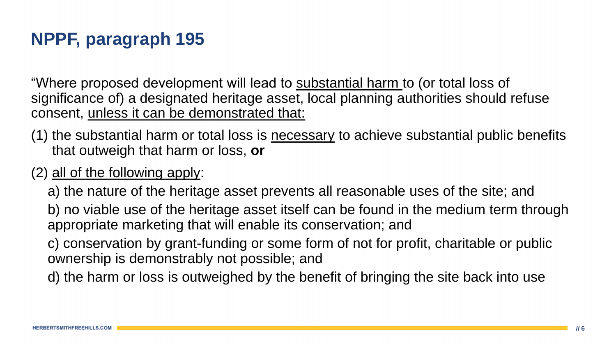"Where proposed development will lead to substantial harm to (or total loss of significance of) a designated heritage asset, local planning authorities should refuse consent, unless it can be demonstrated that:

- (1) the substantial harm or total loss is necessary to achieve substantial public benefits that outweigh that harm or loss, **or**
- (2) all of the following apply:
	- a) the nature of the heritage asset prevents all reasonable uses of the site; and
	- b) no viable use of the heritage asset itself can be found in the medium term through appropriate marketing that will enable its conservation; and
	- c) conservation by grant-funding or some form of not for profit, charitable or public ownership is demonstrably not possible; and
	- d) the harm or loss is outweighed by the benefit of bringing the site back into use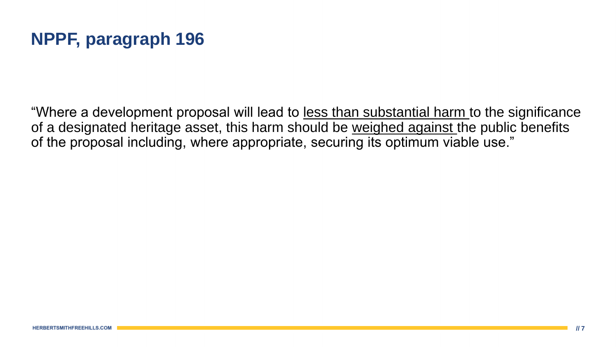"Where a development proposal will lead to less than substantial harm to the significance of a designated heritage asset, this harm should be weighed against the public benefits of the proposal including, where appropriate, securing its optimum viable use."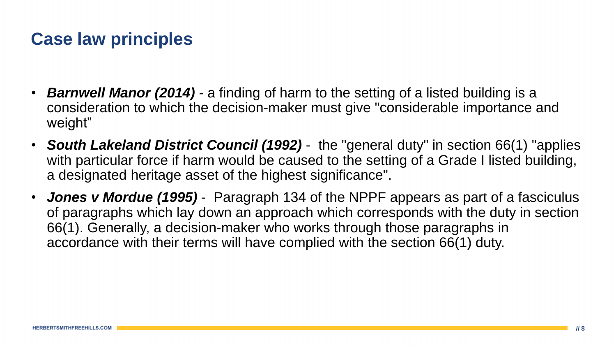#### **Case law principles**

- **Barnwell Manor (2014)** a finding of harm to the setting of a listed building is a consideration to which the decision-maker must give "considerable importance and weight"
- *South Lakeland District Council (1992)*  the "general duty" in section 66(1) "applies with particular force if harm would be caused to the setting of a Grade I listed building, a designated heritage asset of the highest significance".
- *Jones v Mordue (1995)*  Paragraph 134 of the NPPF appears as part of a fasciculus of paragraphs which lay down an approach which corresponds with the duty in section 66(1). Generally, a decision-maker who works through those paragraphs in accordance with their terms will have complied with the section 66(1) duty.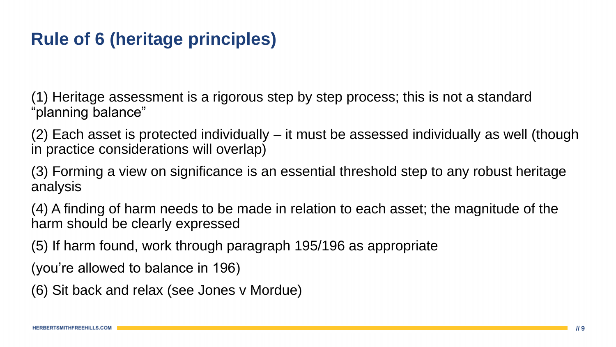#### **Rule of 6 (heritage principles)**

(1) Heritage assessment is a rigorous step by step process; this is not a standard "planning balance"

(2) Each asset is protected individually – it must be assessed individually as well (though in practice considerations will overlap)

(3) Forming a view on significance is an essential threshold step to any robust heritage analysis

(4) A finding of harm needs to be made in relation to each asset; the magnitude of the harm should be clearly expressed

(5) If harm found, work through paragraph 195/196 as appropriate

(you're allowed to balance in 196)

(6) Sit back and relax (see Jones v Mordue)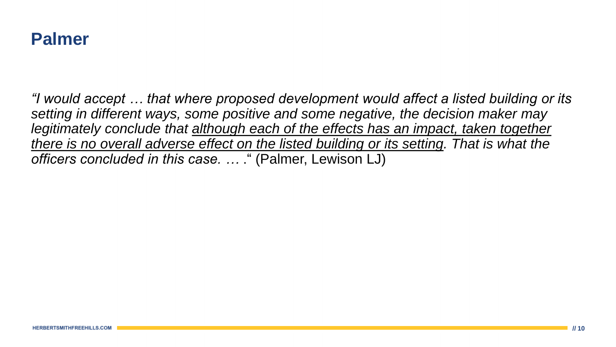

*"I would accept … that where proposed development would affect a listed building or its setting in different ways, some positive and some negative, the decision maker may*  legitimately conclude that although each of the effects has an impact, taken together *there is no overall adverse effect on the listed building or its setting. That is what the officers concluded in this case. …* ." (Palmer, Lewison LJ)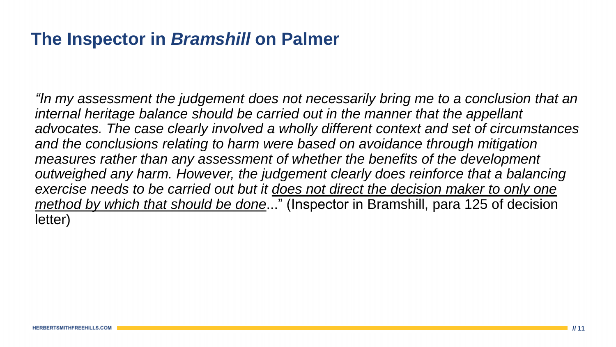#### **The Inspector in** *Bramshill* **on Palmer**

*"In my assessment the judgement does not necessarily bring me to a conclusion that an*  internal heritage balance should be carried out in the manner that the appellant *advocates. The case clearly involved a wholly different context and set of circumstances*  and the conclusions relating to harm were based on avoidance through mitigation *measures rather than any assessment of whether the benefits of the development outweighed any harm. However, the judgement clearly does reinforce that a balancing exercise needs to be carried out but it does not direct the decision maker to only one method by which that should be done*..." (Inspector in Bramshill, para 125 of decision letter)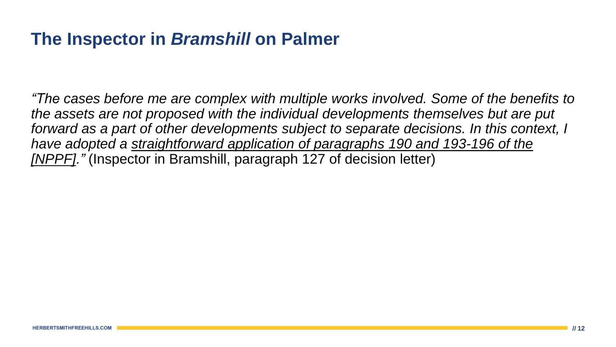#### **The Inspector in** *Bramshill* **on Palmer**

*"The cases before me are complex with multiple works involved. Some of the benefits to the assets are not proposed with the individual developments themselves but are put*  forward as a part of other developments subject to separate decisions. In this context, I *have adopted a straightforward application of paragraphs 190 and 193-196 of the [NPPF]."* (Inspector in Bramshill, paragraph 127 of decision letter)